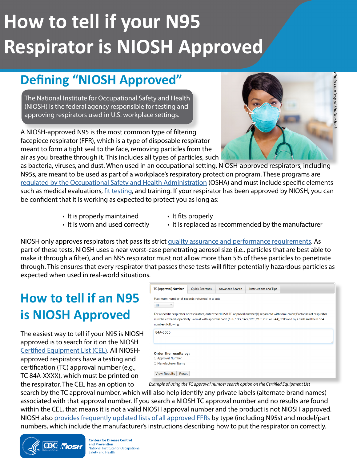# **How to tell if your N95 Respirator is NIOSH Approved**

## **Defining "NIOSH Approved"**

The National Institute for Occupational Safety and Health (NIOSH) is the federal agency responsible for testing and approving respirators used in U.S. workplace settings.

A NIOSH-approved N95 is the most common type of filtering facepiece respirator (FFR), which is a type of disposable respirator meant to form a tight seal to the face, removing particles from the air as you breathe through it. This includes all types of particles, such

as bacteria, viruses, and dust. When used in an occupational setting, NIOSH-approved respirators, including N95s, are meant to be used as part of a workplace's respiratory protection program. These programs are [regulated by the](http://regulated by the ) [Occupational Safety and Health Administration](https://www.osha.gov/laws-regs/regulations/standardnumber/1910/1910.134) (OSHA) and must include specific elements such as medical evaluations, [fit testing](https://www.cdc.gov/niosh/docs/2018-129/default.html), and training. If your respirator has been approved by NIOSH, you can be confident that it is working as expected to protect you as long as:

- It is properly maintained
- It fits properly
- It is worn and used correctly
- It is replaced as recommended by the manufacturer

NIOSH only approves respirators that pass its strict [quality assurance and performance requirements.](https://www.cdc.gov/niosh/npptl/respmanuf.html) As part of these tests, NIOSH uses a near worst-case penetrating aerosol size (i.e., particles that are best able to make it through a filter), and an N95 respirator must not allow more than 5% of these particles to penetrate through. This ensures that every respirator that passes these tests will filter potentially hazardous particles as expected when used in real-world situations.

### **How to tell if an N95 is NIOSH Approved**

The easiest way to tell if your N95 is NIOSH approved is to search for it on the NIOSH [Certified Equipment List \(CEL\).](https://wwwn.cdc.gov/niosh-cel/) All NIOSHapproved respirators have a testing and certification (TC) approval number (e.g., TC 84A-XXXX), which must be printed on the respirator. The CEL has an option to

| <b>TC (Approval) Number</b>                                                                                                                                                                                                                                                                 | <b>Quick Searches</b> | <b>Advanced Search</b> | <b>Instructions and Tips</b> |  |
|---------------------------------------------------------------------------------------------------------------------------------------------------------------------------------------------------------------------------------------------------------------------------------------------|-----------------------|------------------------|------------------------------|--|
| Maximum number of records returned in a set:<br>50                                                                                                                                                                                                                                          |                       |                        |                              |  |
| For a specific respirator or respirators, enter the NIOSH TC approval number(s) separated with semi-colon; Each class of respirator<br>must be entered separately. Format with approval code (13F, 13G, 14G, 19C, 21C, 23C or 84A), followed by a dash and the 3 or 4<br>numbers following. |                       |                        |                              |  |
| 84A-0006                                                                                                                                                                                                                                                                                    |                       |                        |                              |  |
|                                                                                                                                                                                                                                                                                             |                       |                        |                              |  |
| Order the results by:<br>○ Approval Number                                                                                                                                                                                                                                                  |                       |                        |                              |  |
| O Manufacturer Name                                                                                                                                                                                                                                                                         |                       |                        |                              |  |
| <b>View Results</b><br>Reset                                                                                                                                                                                                                                                                |                       |                        |                              |  |

*Example of using the TC approval number search option on the Certified Equipment List* 

search by the TC approval number, which will also help identify any private labels (alternate brand names) associated with that approval number. If you search a NIOSH TC approval number and no results are found within the CEL, that means it is not a valid NIOSH approval number and the product is not NIOSH approved. NIOSH also [provides frequently updated lists of all approved FFRs](https://www.cdc.gov/niosh/npptl/topics/respirators/disp_part/default.html) by type (including N95s) and model/part numbers, which include the manufacturer's instructions describing how to put the respirator on correctly.



**Centers for Disease Control** and Prevention National Institute for Occupational Safety and Health

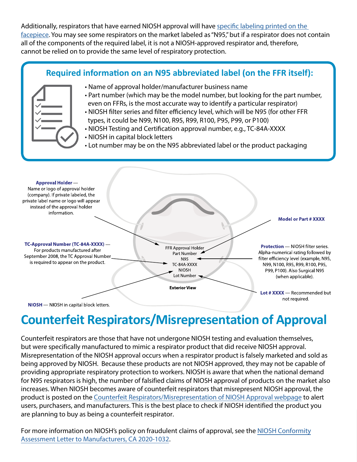Additionally, respirators that have earned NIOSH approval will have [specific labeling printed on the](https://www.cdc.gov/niosh/npptl/topics/respirators/disp_part/default.html)  [facepiece](https://www.cdc.gov/niosh/npptl/topics/respirators/disp_part/default.html). You may see some respirators on the market labeled as "N95," but if a respirator does not contain all of the components of the required label, it is not a NIOSH-approved respirator and, therefore, cannot be relied on to provide the same level of respiratory protection.



# **Counterfeit Respirators/Misrepresentation of Approval**

Counterfeit respirators are those that have not undergone NIOSH testing and evaluation themselves, but were specifically manufactured to mimic a respirator product that did receive NIOSH approval. Misrepresentation of the NIOSH approval occurs when a respirator product is falsely marketed and sold as being approved by NIOSH. Because these products are not NIOSH approved, they may not be capable of providing appropriate respiratory protection to workers. NIOSH is aware that when the national demand for N95 respirators is high, the number of falsified claims of NIOSH approval of products on the market also increases. When NIOSH becomes aware of counterfeit respirators that misrepresent NIOSH approval, the product is posted on the [Counterfeit Respirators/Misrepresentation of NIOSH Approval webpage](https://www.cdc.gov/niosh/npptl/usernotices/counterfeitResp.html) to alert users, purchasers, and manufacturers. This is the best place to check if NIOSH identified the product you are planning to buy as being a counterfeit respirator.

For more information on NIOSH's policy on fraudulent claims of approval, see the [NIOSH Conformity](https://www.cdc.gov/niosh/npptl/resources/pressrel/letters/conformitymanuf/CA-2021-1032.html)  [Assessment Letter to Manufacturers, CA 2020-1032](https://www.cdc.gov/niosh/npptl/resources/pressrel/letters/conformitymanuf/CA-2021-1032.html).